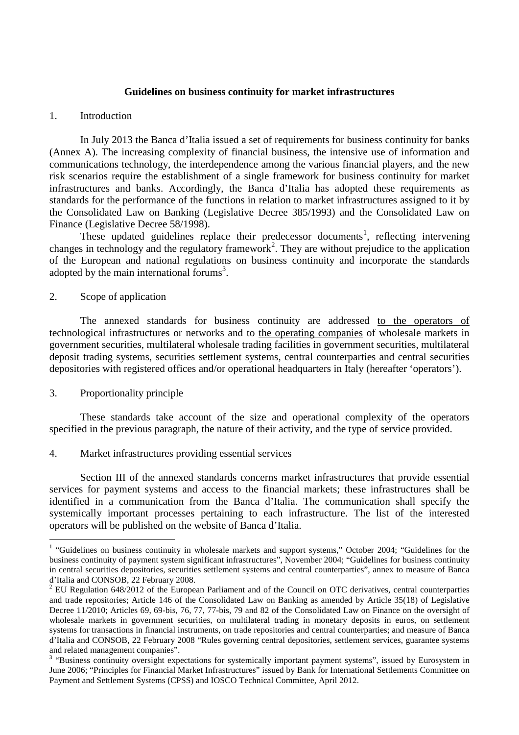#### **Guidelines on business continuity for market infrastructures**

#### 1. Introduction

In July 2013 the Banca d'Italia issued a set of requirements for business continuity for banks (Annex A). The increasing complexity of financial business, the intensive use of information and communications technology, the interdependence among the various financial players, and the new risk scenarios require the establishment of a single framework for business continuity for market infrastructures and banks. Accordingly, the Banca d'Italia has adopted these requirements as standards for the performance of the functions in relation to market infrastructures assigned to it by the Consolidated Law on Banking (Legislative Decree 385/1993) and the Consolidated Law on Finance (Legislative Decree 58/1998).

These updated guidelines replace their predecessor documents<sup>1</sup>, reflecting intervening changes in technology and the regulatory framework<sup>2</sup>. They are without prejudice to the application of the European and national regulations on business continuity and incorporate the standards adopted by the main international forums<sup>3</sup>.

#### 2. Scope of application

The annexed standards for business continuity are addressed to the operators of technological infrastructures or networks and to the operating companies of wholesale markets in government securities, multilateral wholesale trading facilities in government securities, multilateral deposit trading systems, securities settlement systems, central counterparties and central securities depositories with registered offices and/or operational headquarters in Italy (hereafter 'operators').

## 3. Proportionality principle

 These standards take account of the size and operational complexity of the operators specified in the previous paragraph, the nature of their activity, and the type of service provided.

4. Market infrastructures providing essential services

 Section III of the annexed standards concerns market infrastructures that provide essential services for payment systems and access to the financial markets; these infrastructures shall be identified in a communication from the Banca d'Italia. The communication shall specify the systemically important processes pertaining to each infrastructure. The list of the interested operators will be published on the website of Banca d'Italia.

 1 "Guidelines on business continuity in wholesale markets and support systems," October 2004; "Guidelines for the business continuity of payment system significant infrastructures", November 2004; "Guidelines for business continuity in central securities depositories, securities settlement systems and central counterparties", annex to measure of Banca d'Italia and CONSOB, 22 February 2008.

 $2$  EU Regulation 648/2012 of the European Parliament and of the Council on OTC derivatives, central counterparties and trade repositories; Article 146 of the Consolidated Law on Banking as amended by Article 35(18) of Legislative Decree 11/2010; Articles 69, 69-bis, 76, 77, 77-bis, 79 and 82 of the Consolidated Law on Finance on the oversight of wholesale markets in government securities, on multilateral trading in monetary deposits in euros, on settlement systems for transactions in financial instruments, on trade repositories and central counterparties; and measure of Banca d'Italia and CONSOB, 22 February 2008 "Rules governing central depositories, settlement services, guarantee systems and related management companies".

<sup>&</sup>lt;sup>3</sup> "Business continuity oversight expectations for systemically important payment systems", issued by Eurosystem in June 2006; "Principles for Financial Market Infrastructures" issued by Bank for International Settlements Committee on Payment and Settlement Systems (CPSS) and IOSCO Technical Committee, April 2012.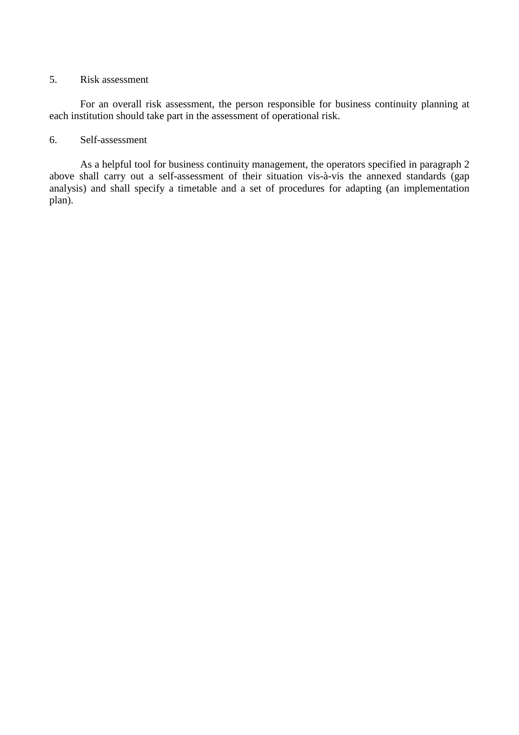### 5. Risk assessment

 For an overall risk assessment, the person responsible for business continuity planning at each institution should take part in the assessment of operational risk.

# 6. Self-assessment

 As a helpful tool for business continuity management, the operators specified in paragraph 2 above shall carry out a self-assessment of their situation vis-à-vis the annexed standards (gap analysis) and shall specify a timetable and a set of procedures for adapting (an implementation plan).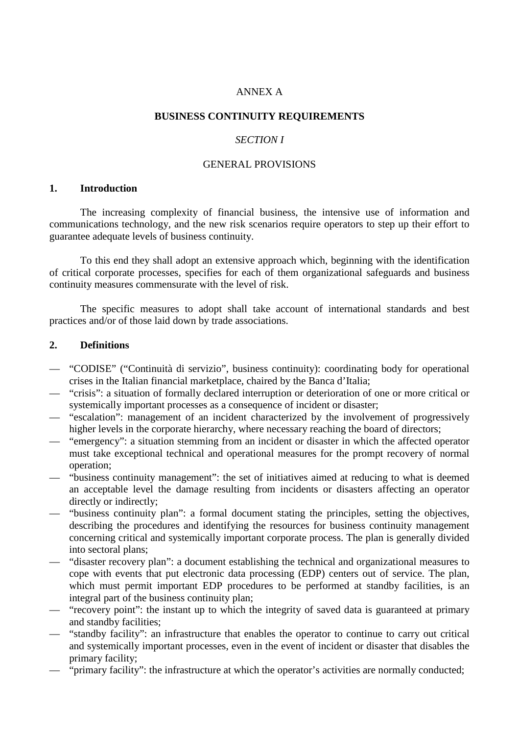# ANNEX A

### **BUSINESS CONTINUITY REQUIREMENTS**

## *SECTION I*

### GENERAL PROVISIONS

## **1. Introduction**

 The increasing complexity of financial business, the intensive use of information and communications technology, and the new risk scenarios require operators to step up their effort to guarantee adequate levels of business continuity.

To this end they shall adopt an extensive approach which, beginning with the identification of critical corporate processes, specifies for each of them organizational safeguards and business continuity measures commensurate with the level of risk.

The specific measures to adopt shall take account of international standards and best practices and/or of those laid down by trade associations.

### **2. Definitions**

- "CODISE" ("Continuità di servizio", business continuity): coordinating body for operational crises in the Italian financial marketplace, chaired by the Banca d'Italia;
- "crisis": a situation of formally declared interruption or deterioration of one or more critical or systemically important processes as a consequence of incident or disaster;
- "escalation": management of an incident characterized by the involvement of progressively higher levels in the corporate hierarchy, where necessary reaching the board of directors;
- "emergency": a situation stemming from an incident or disaster in which the affected operator must take exceptional technical and operational measures for the prompt recovery of normal operation;
- "business continuity management": the set of initiatives aimed at reducing to what is deemed an acceptable level the damage resulting from incidents or disasters affecting an operator directly or indirectly;
- "business continuity plan": a formal document stating the principles, setting the objectives, describing the procedures and identifying the resources for business continuity management concerning critical and systemically important corporate process. The plan is generally divided into sectoral plans;
- "disaster recovery plan": a document establishing the technical and organizational measures to cope with events that put electronic data processing (EDP) centers out of service. The plan, which must permit important EDP procedures to be performed at standby facilities, is an integral part of the business continuity plan;
- "recovery point": the instant up to which the integrity of saved data is guaranteed at primary and standby facilities;
- "standby facility": an infrastructure that enables the operator to continue to carry out critical and systemically important processes, even in the event of incident or disaster that disables the primary facility;
- "primary facility": the infrastructure at which the operator's activities are normally conducted;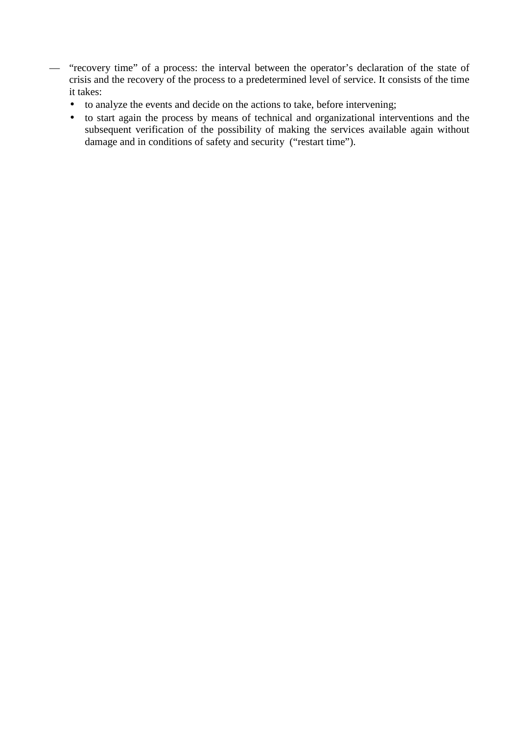- "recovery time" of a process: the interval between the operator's declaration of the state of crisis and the recovery of the process to a predetermined level of service. It consists of the time it takes:
	- to analyze the events and decide on the actions to take, before intervening;
	- to start again the process by means of technical and organizational interventions and the subsequent verification of the possibility of making the services available again without damage and in conditions of safety and security ("restart time").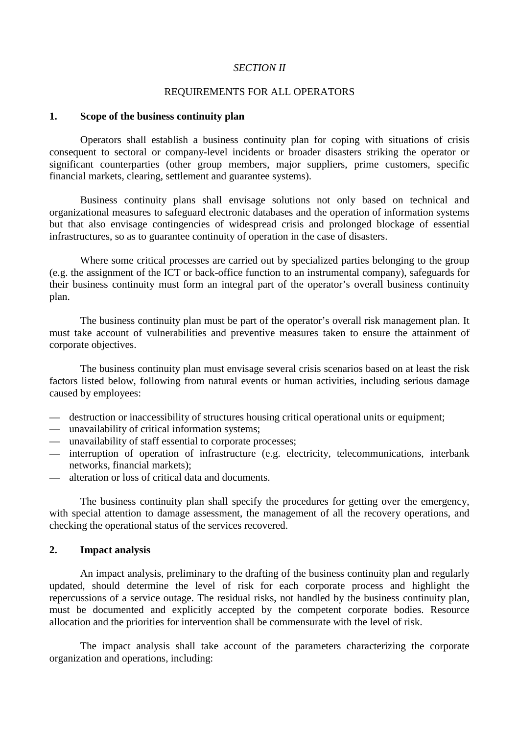### *SECTION II*

## REQUIREMENTS FOR ALL OPERATORS

#### **1. Scope of the business continuity plan**

 Operators shall establish a business continuity plan for coping with situations of crisis consequent to sectoral or company-level incidents or broader disasters striking the operator or significant counterparties (other group members, major suppliers, prime customers, specific financial markets, clearing, settlement and guarantee systems).

 Business continuity plans shall envisage solutions not only based on technical and organizational measures to safeguard electronic databases and the operation of information systems but that also envisage contingencies of widespread crisis and prolonged blockage of essential infrastructures, so as to guarantee continuity of operation in the case of disasters.

 Where some critical processes are carried out by specialized parties belonging to the group (e.g. the assignment of the ICT or back-office function to an instrumental company), safeguards for their business continuity must form an integral part of the operator's overall business continuity plan.

 The business continuity plan must be part of the operator's overall risk management plan. It must take account of vulnerabilities and preventive measures taken to ensure the attainment of corporate objectives.

 The business continuity plan must envisage several crisis scenarios based on at least the risk factors listed below, following from natural events or human activities, including serious damage caused by employees:

- destruction or inaccessibility of structures housing critical operational units or equipment;
- unavailability of critical information systems;
- unavailability of staff essential to corporate processes;
- interruption of operation of infrastructure (e.g. electricity, telecommunications, interbank networks, financial markets);
- alteration or loss of critical data and documents.

 The business continuity plan shall specify the procedures for getting over the emergency, with special attention to damage assessment, the management of all the recovery operations, and checking the operational status of the services recovered.

### **2. Impact analysis**

 An impact analysis, preliminary to the drafting of the business continuity plan and regularly updated, should determine the level of risk for each corporate process and highlight the repercussions of a service outage. The residual risks, not handled by the business continuity plan, must be documented and explicitly accepted by the competent corporate bodies. Resource allocation and the priorities for intervention shall be commensurate with the level of risk.

 The impact analysis shall take account of the parameters characterizing the corporate organization and operations, including: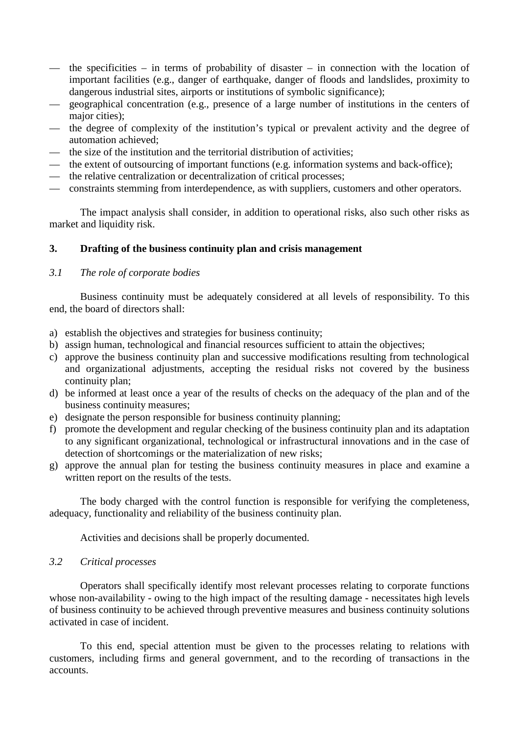- the specificities in terms of probability of disaster in connection with the location of important facilities (e.g., danger of earthquake, danger of floods and landslides, proximity to dangerous industrial sites, airports or institutions of symbolic significance);
- geographical concentration (e.g., presence of a large number of institutions in the centers of major cities):
- the degree of complexity of the institution's typical or prevalent activity and the degree of automation achieved;
- the size of the institution and the territorial distribution of activities;
- the extent of outsourcing of important functions (e.g. information systems and back-office);
- the relative centralization or decentralization of critical processes;
- constraints stemming from interdependence, as with suppliers, customers and other operators.

The impact analysis shall consider, in addition to operational risks, also such other risks as market and liquidity risk.

## **3. Drafting of the business continuity plan and crisis management**

# *3.1 The role of corporate bodies*

 Business continuity must be adequately considered at all levels of responsibility. To this end, the board of directors shall:

- a) establish the objectives and strategies for business continuity;
- b) assign human, technological and financial resources sufficient to attain the objectives;
- c) approve the business continuity plan and successive modifications resulting from technological and organizational adjustments, accepting the residual risks not covered by the business continuity plan;
- d) be informed at least once a year of the results of checks on the adequacy of the plan and of the business continuity measures;
- e) designate the person responsible for business continuity planning;
- f) promote the development and regular checking of the business continuity plan and its adaptation to any significant organizational, technological or infrastructural innovations and in the case of detection of shortcomings or the materialization of new risks;
- g) approve the annual plan for testing the business continuity measures in place and examine a written report on the results of the tests.

 The body charged with the control function is responsible for verifying the completeness, adequacy, functionality and reliability of the business continuity plan.

Activities and decisions shall be properly documented.

### *3.2 Critical processes*

 Operators shall specifically identify most relevant processes relating to corporate functions whose non-availability - owing to the high impact of the resulting damage - necessitates high levels of business continuity to be achieved through preventive measures and business continuity solutions activated in case of incident.

 To this end, special attention must be given to the processes relating to relations with customers, including firms and general government, and to the recording of transactions in the accounts.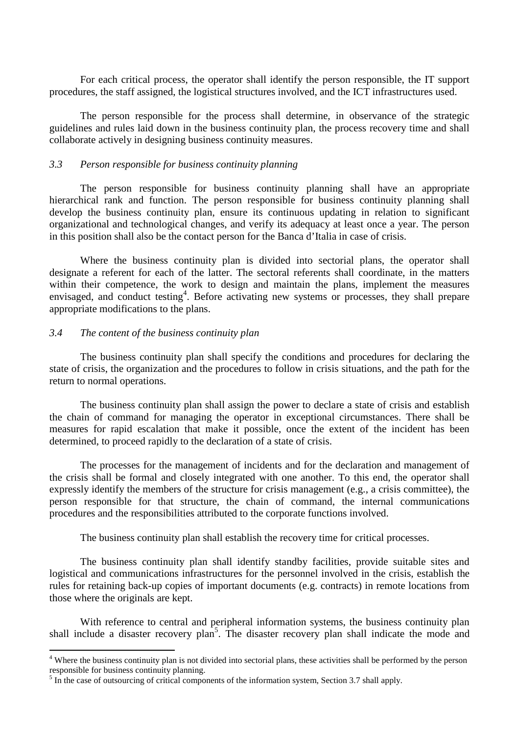For each critical process, the operator shall identify the person responsible, the IT support procedures, the staff assigned, the logistical structures involved, and the ICT infrastructures used.

 The person responsible for the process shall determine, in observance of the strategic guidelines and rules laid down in the business continuity plan, the process recovery time and shall collaborate actively in designing business continuity measures.

## *3.3 Person responsible for business continuity planning*

 The person responsible for business continuity planning shall have an appropriate hierarchical rank and function. The person responsible for business continuity planning shall develop the business continuity plan, ensure its continuous updating in relation to significant organizational and technological changes, and verify its adequacy at least once a year. The person in this position shall also be the contact person for the Banca d'Italia in case of crisis.

 Where the business continuity plan is divided into sectorial plans, the operator shall designate a referent for each of the latter. The sectoral referents shall coordinate, in the matters within their competence, the work to design and maintain the plans, implement the measures envisaged, and conduct testing<sup>4</sup>. Before activating new systems or processes, they shall prepare appropriate modifications to the plans.

## *3.4 The content of the business continuity plan*

 The business continuity plan shall specify the conditions and procedures for declaring the state of crisis, the organization and the procedures to follow in crisis situations, and the path for the return to normal operations.

 The business continuity plan shall assign the power to declare a state of crisis and establish the chain of command for managing the operator in exceptional circumstances. There shall be measures for rapid escalation that make it possible, once the extent of the incident has been determined, to proceed rapidly to the declaration of a state of crisis.

 The processes for the management of incidents and for the declaration and management of the crisis shall be formal and closely integrated with one another. To this end, the operator shall expressly identify the members of the structure for crisis management (e.g., a crisis committee), the person responsible for that structure, the chain of command, the internal communications procedures and the responsibilities attributed to the corporate functions involved.

The business continuity plan shall establish the recovery time for critical processes.

 The business continuity plan shall identify standby facilities, provide suitable sites and logistical and communications infrastructures for the personnel involved in the crisis, establish the rules for retaining back-up copies of important documents (e.g. contracts) in remote locations from those where the originals are kept.

With reference to central and peripheral information systems, the business continuity plan shall include a disaster recovery plan<sup>5</sup>. The disaster recovery plan shall indicate the mode and

<sup>&</sup>lt;sup>4</sup> Where the business continuity plan is not divided into sectorial plans, these activities shall be performed by the person responsible for business continuity planning.

 $<sup>5</sup>$  In the case of outsourcing of critical components of the information system, Section 3.7 shall apply.</sup>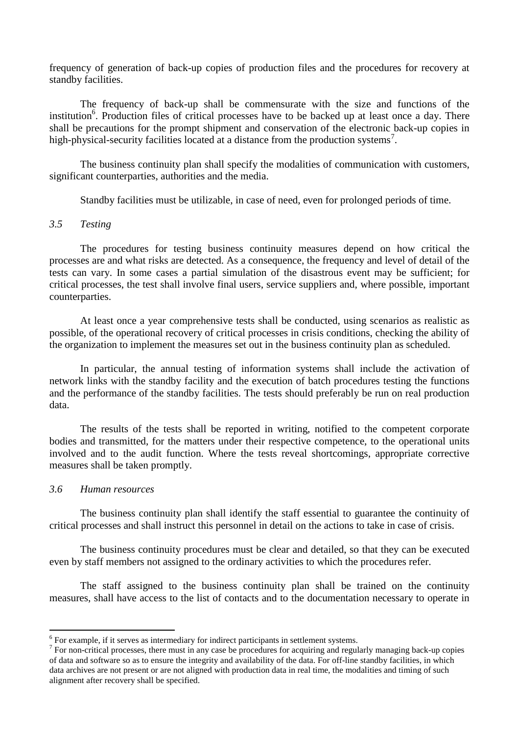frequency of generation of back-up copies of production files and the procedures for recovery at standby facilities.

 The frequency of back-up shall be commensurate with the size and functions of the institution<sup>6</sup>. Production files of critical processes have to be backed up at least once a day. There shall be precautions for the prompt shipment and conservation of the electronic back-up copies in high-physical-security facilities located at a distance from the production systems<sup>7</sup>.

 The business continuity plan shall specify the modalities of communication with customers, significant counterparties, authorities and the media.

Standby facilities must be utilizable, in case of need, even for prolonged periods of time.

## *3.5 Testing*

 The procedures for testing business continuity measures depend on how critical the processes are and what risks are detected. As a consequence, the frequency and level of detail of the tests can vary. In some cases a partial simulation of the disastrous event may be sufficient; for critical processes, the test shall involve final users, service suppliers and, where possible, important counterparties.

 At least once a year comprehensive tests shall be conducted, using scenarios as realistic as possible, of the operational recovery of critical processes in crisis conditions, checking the ability of the organization to implement the measures set out in the business continuity plan as scheduled.

 In particular, the annual testing of information systems shall include the activation of network links with the standby facility and the execution of batch procedures testing the functions and the performance of the standby facilities. The tests should preferably be run on real production data.

 The results of the tests shall be reported in writing, notified to the competent corporate bodies and transmitted, for the matters under their respective competence, to the operational units involved and to the audit function. Where the tests reveal shortcomings, appropriate corrective measures shall be taken promptly.

#### *3.6 Human resources*

 $\overline{a}$ 

 The business continuity plan shall identify the staff essential to guarantee the continuity of critical processes and shall instruct this personnel in detail on the actions to take in case of crisis.

 The business continuity procedures must be clear and detailed, so that they can be executed even by staff members not assigned to the ordinary activities to which the procedures refer.

 The staff assigned to the business continuity plan shall be trained on the continuity measures, shall have access to the list of contacts and to the documentation necessary to operate in

 $6$  For example, if it serves as intermediary for indirect participants in settlement systems.

 $7$  For non-critical processes, there must in any case be procedures for acquiring and regularly managing back-up copies of data and software so as to ensure the integrity and availability of the data. For off-line standby facilities, in which data archives are not present or are not aligned with production data in real time, the modalities and timing of such alignment after recovery shall be specified.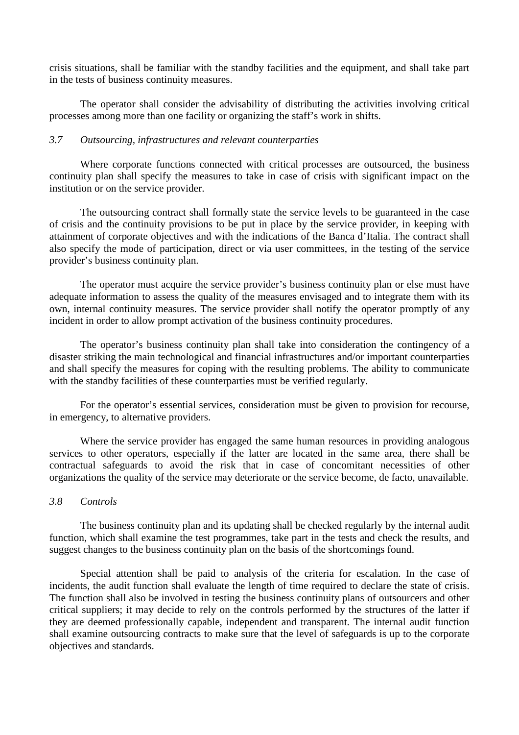crisis situations, shall be familiar with the standby facilities and the equipment, and shall take part in the tests of business continuity measures.

 The operator shall consider the advisability of distributing the activities involving critical processes among more than one facility or organizing the staff's work in shifts.

## *3.7 Outsourcing, infrastructures and relevant counterparties*

 Where corporate functions connected with critical processes are outsourced, the business continuity plan shall specify the measures to take in case of crisis with significant impact on the institution or on the service provider.

 The outsourcing contract shall formally state the service levels to be guaranteed in the case of crisis and the continuity provisions to be put in place by the service provider, in keeping with attainment of corporate objectives and with the indications of the Banca d'Italia. The contract shall also specify the mode of participation, direct or via user committees, in the testing of the service provider's business continuity plan.

 The operator must acquire the service provider's business continuity plan or else must have adequate information to assess the quality of the measures envisaged and to integrate them with its own, internal continuity measures. The service provider shall notify the operator promptly of any incident in order to allow prompt activation of the business continuity procedures.

 The operator's business continuity plan shall take into consideration the contingency of a disaster striking the main technological and financial infrastructures and/or important counterparties and shall specify the measures for coping with the resulting problems. The ability to communicate with the standby facilities of these counterparties must be verified regularly.

 For the operator's essential services, consideration must be given to provision for recourse, in emergency, to alternative providers.

 Where the service provider has engaged the same human resources in providing analogous services to other operators, especially if the latter are located in the same area, there shall be contractual safeguards to avoid the risk that in case of concomitant necessities of other organizations the quality of the service may deteriorate or the service become, de facto, unavailable.

### *3.8 Controls*

 The business continuity plan and its updating shall be checked regularly by the internal audit function, which shall examine the test programmes, take part in the tests and check the results, and suggest changes to the business continuity plan on the basis of the shortcomings found.

 Special attention shall be paid to analysis of the criteria for escalation. In the case of incidents, the audit function shall evaluate the length of time required to declare the state of crisis. The function shall also be involved in testing the business continuity plans of outsourcers and other critical suppliers; it may decide to rely on the controls performed by the structures of the latter if they are deemed professionally capable, independent and transparent. The internal audit function shall examine outsourcing contracts to make sure that the level of safeguards is up to the corporate objectives and standards.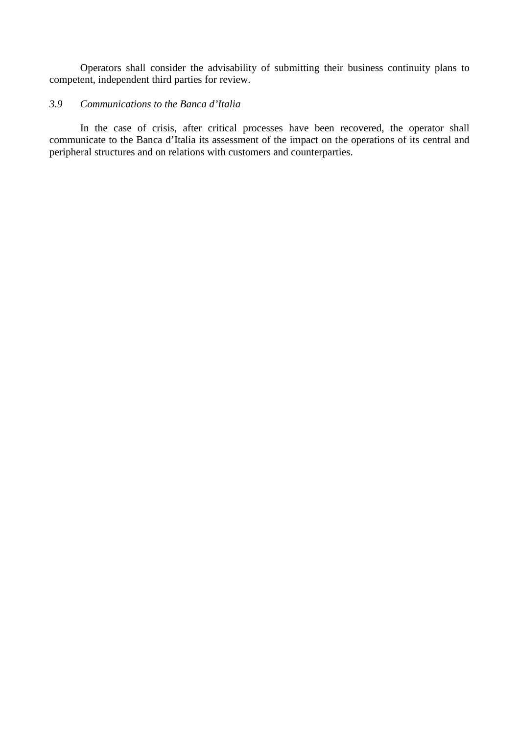Operators shall consider the advisability of submitting their business continuity plans to competent, independent third parties for review.

# *3.9 Communications to the Banca d'Italia*

 In the case of crisis, after critical processes have been recovered, the operator shall communicate to the Banca d'Italia its assessment of the impact on the operations of its central and peripheral structures and on relations with customers and counterparties.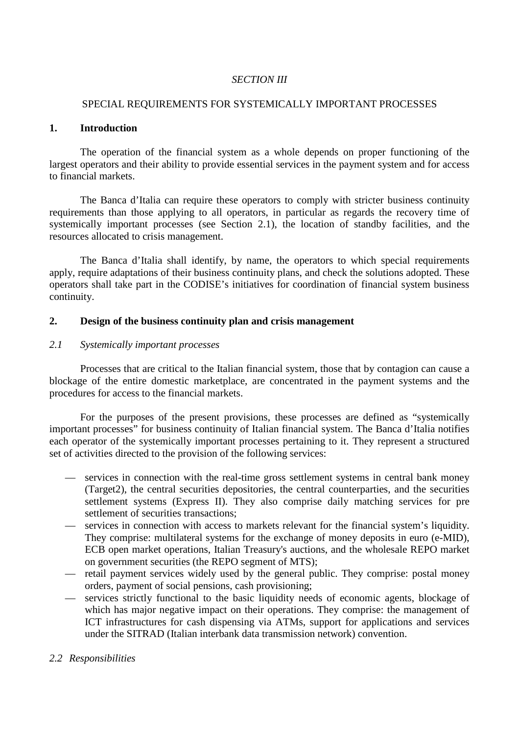# *SECTION III*

### SPECIAL REQUIREMENTS FOR SYSTEMICALLY IMPORTANT PROCESSES

### **1. Introduction**

 The operation of the financial system as a whole depends on proper functioning of the largest operators and their ability to provide essential services in the payment system and for access to financial markets.

 The Banca d'Italia can require these operators to comply with stricter business continuity requirements than those applying to all operators, in particular as regards the recovery time of systemically important processes (see Section 2.1), the location of standby facilities, and the resources allocated to crisis management.

 The Banca d'Italia shall identify, by name, the operators to which special requirements apply, require adaptations of their business continuity plans, and check the solutions adopted. These operators shall take part in the CODISE's initiatives for coordination of financial system business continuity.

### **2. Design of the business continuity plan and crisis management**

### *2.1 Systemically important processes*

 Processes that are critical to the Italian financial system, those that by contagion can cause a blockage of the entire domestic marketplace, are concentrated in the payment systems and the procedures for access to the financial markets.

 For the purposes of the present provisions, these processes are defined as "systemically important processes" for business continuity of Italian financial system. The Banca d'Italia notifies each operator of the systemically important processes pertaining to it. They represent a structured set of activities directed to the provision of the following services:

- services in connection with the real-time gross settlement systems in central bank money (Target2), the central securities depositories, the central counterparties, and the securities settlement systems (Express II). They also comprise daily matching services for pre settlement of securities transactions;
- services in connection with access to markets relevant for the financial system's liquidity. They comprise: multilateral systems for the exchange of money deposits in euro (e-MID), ECB open market operations, Italian Treasury's auctions, and the wholesale REPO market on government securities (the REPO segment of MTS);
- retail payment services widely used by the general public. They comprise: postal money orders, payment of social pensions, cash provisioning;
- services strictly functional to the basic liquidity needs of economic agents, blockage of which has major negative impact on their operations. They comprise: the management of ICT infrastructures for cash dispensing via ATMs, support for applications and services under the SITRAD (Italian interbank data transmission network) convention.
- *2.2 Responsibilities*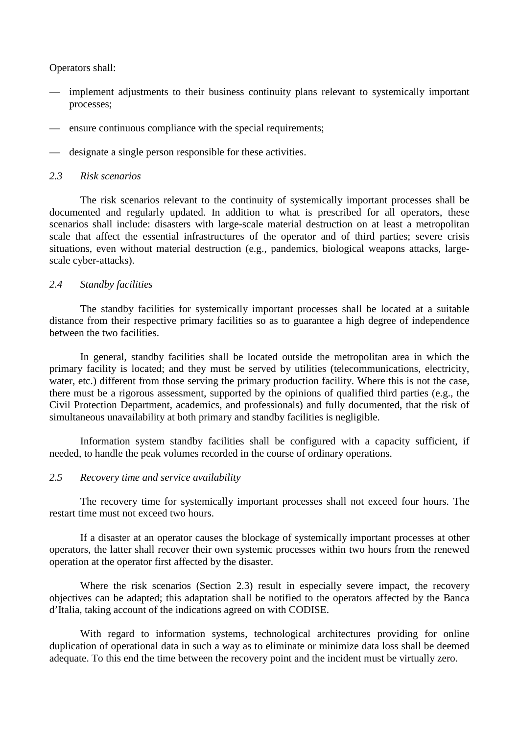Operators shall:

- implement adjustments to their business continuity plans relevant to systemically important processes;
- ensure continuous compliance with the special requirements;
- designate a single person responsible for these activities.

#### *2.3 Risk scenarios*

 The risk scenarios relevant to the continuity of systemically important processes shall be documented and regularly updated. In addition to what is prescribed for all operators, these scenarios shall include: disasters with large-scale material destruction on at least a metropolitan scale that affect the essential infrastructures of the operator and of third parties; severe crisis situations, even without material destruction (e.g., pandemics, biological weapons attacks, largescale cyber-attacks).

## *2.4 Standby facilities*

 The standby facilities for systemically important processes shall be located at a suitable distance from their respective primary facilities so as to guarantee a high degree of independence between the two facilities.

 In general, standby facilities shall be located outside the metropolitan area in which the primary facility is located; and they must be served by utilities (telecommunications, electricity, water, etc.) different from those serving the primary production facility. Where this is not the case, there must be a rigorous assessment, supported by the opinions of qualified third parties (e.g., the Civil Protection Department, academics, and professionals) and fully documented, that the risk of simultaneous unavailability at both primary and standby facilities is negligible.

 Information system standby facilities shall be configured with a capacity sufficient, if needed, to handle the peak volumes recorded in the course of ordinary operations.

### *2.5 Recovery time and service availability*

 The recovery time for systemically important processes shall not exceed four hours. The restart time must not exceed two hours.

 If a disaster at an operator causes the blockage of systemically important processes at other operators, the latter shall recover their own systemic processes within two hours from the renewed operation at the operator first affected by the disaster.

Where the risk scenarios (Section 2.3) result in especially severe impact, the recovery objectives can be adapted; this adaptation shall be notified to the operators affected by the Banca d'Italia, taking account of the indications agreed on with CODISE.

 With regard to information systems, technological architectures providing for online duplication of operational data in such a way as to eliminate or minimize data loss shall be deemed adequate. To this end the time between the recovery point and the incident must be virtually zero.